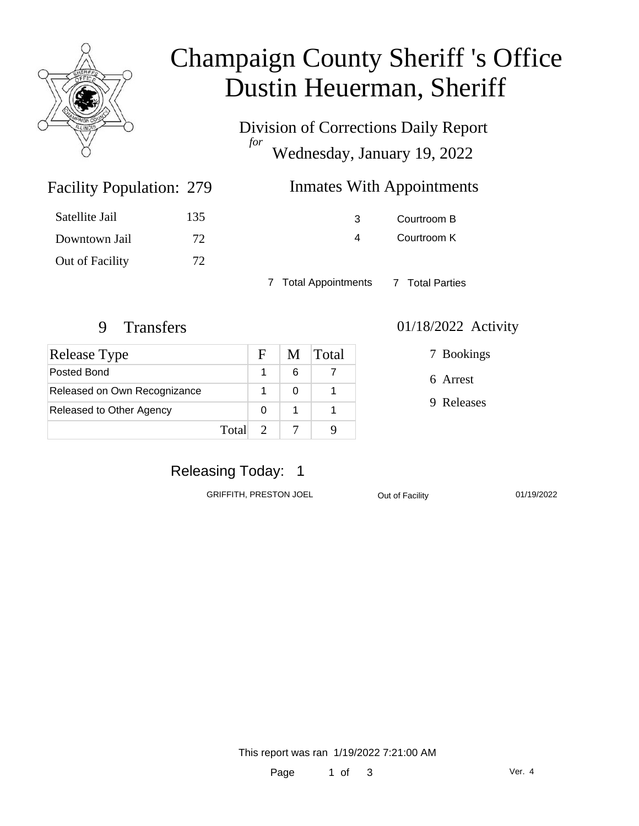

# Champaign County Sheriff 's Office Dustin Heuerman, Sheriff

Division of Corrections Daily Report *for* Wednesday, January 19, 2022

| 279 | <b>Inmates With Appointments</b> |
|-----|----------------------------------|
|     |                                  |

| Satellite Jail  | 135 |
|-----------------|-----|
| Downtown Jail   | 72  |
| Out of Facility | 72. |

Facility Population: 279

3 Courtroom B 4 Courtroom K

7 Total Appointments 7 Total Parties

| Release Type                 | F | M | Total |
|------------------------------|---|---|-------|
| Posted Bond                  |   | 6 |       |
| Released on Own Recognizance |   |   |       |
| Released to Other Agency     | O |   |       |
| Total                        |   |   |       |

#### 9 Transfers 01/18/2022 Activity

7 Bookings

6 Arrest

9 Releases

## Releasing Today: 1

GRIFFITH, PRESTON JOEL **Out of Facility** 01/19/2022

This report was ran 1/19/2022 7:21:00 AM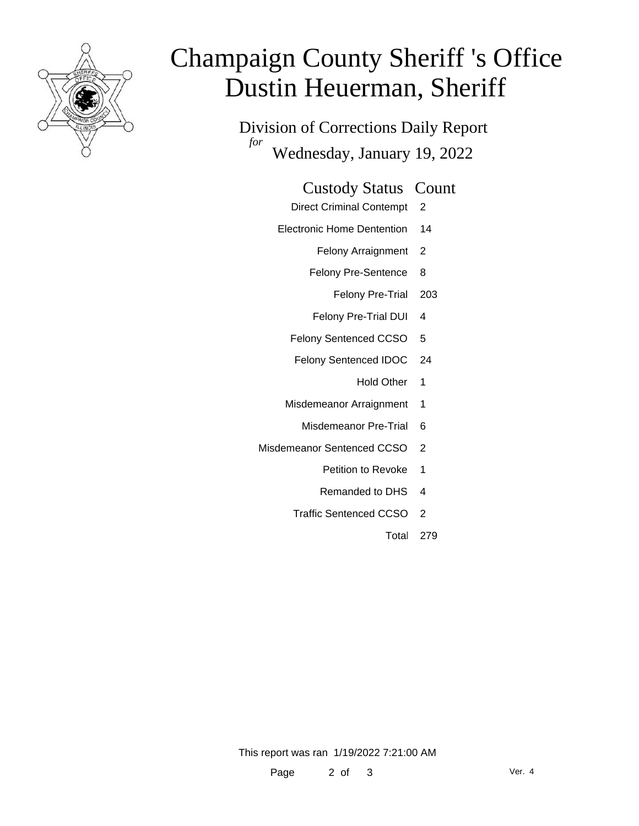

# Champaign County Sheriff 's Office Dustin Heuerman, Sheriff

Division of Corrections Daily Report *for* Wednesday, January 19, 2022

#### Custody Status Count

- Direct Criminal Contempt 2
- Electronic Home Dentention 14
	- Felony Arraignment 2
	- Felony Pre-Sentence 8
		- Felony Pre-Trial 203
	- Felony Pre-Trial DUI 4
	- Felony Sentenced CCSO 5
	- Felony Sentenced IDOC 24
		- Hold Other 1
	- Misdemeanor Arraignment 1
		- Misdemeanor Pre-Trial 6
- Misdemeanor Sentenced CCSO 2
	- Petition to Revoke 1
	- Remanded to DHS 4
	- Traffic Sentenced CCSO 2
		- Total 279

This report was ran 1/19/2022 7:21:00 AM